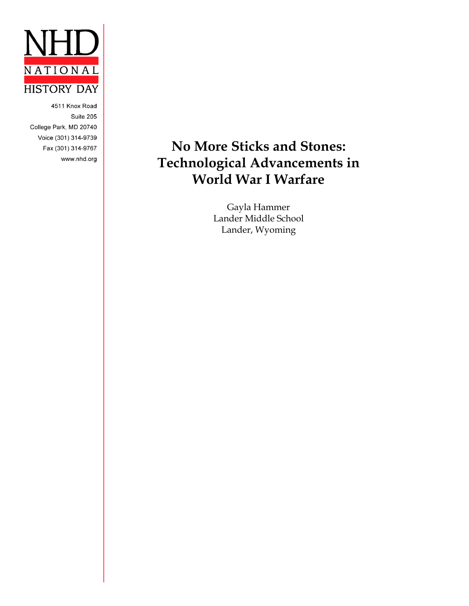

4511 Knox Road Suite 205 College Park, MD 20740 Voice (301) 314-9739 Fax (301) 314-9767 www.nhd.org

# **No More Sticks and Stones: Technological Advancements in World War I Warfare**

Gayla Hammer Lander Middle School Lander, Wyoming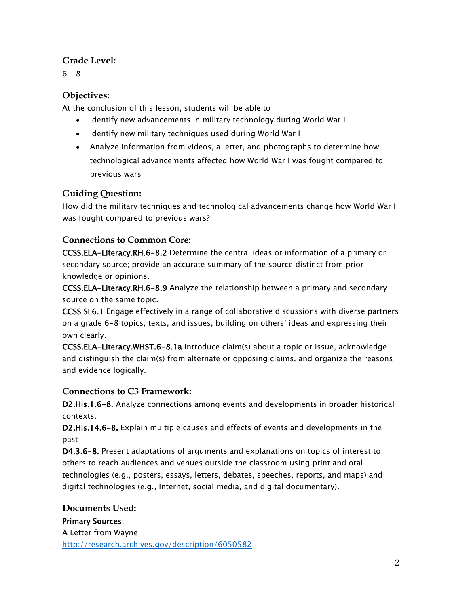### **Grade Level***:*

 $6 - 8$ 

### **Objectives:**

At the conclusion of this lesson, students will be able to

- Identify new advancements in military technology during World War I
- Identify new military techniques used during World War I
- Analyze information from videos, a letter, and photographs to determine how technological advancements affected how World War I was fought compared to previous wars

### **Guiding Question:**

How did the military techniques and technological advancements change how World War I was fought compared to previous wars?

### **Connections to Common Core:**

[CCSS.ELA-Literacy.RH.6-8.2](http://www.corestandards.org/ELA-Literacy/RH/6-8/2/) Determine the central ideas or information of a primary or secondary source; provide an accurate summary of the source distinct from prior knowledge or opinions.

[CCSS.ELA-Literacy.RH.6-8.9](http://www.corestandards.org/ELA-Literacy/RH/6-8/9/) Analyze the relationship between a primary and secondary source on the same topic.

CCSS SL6.1 Engage effectively in a range of collaborative discussions with diverse partners on a grade 6-8 topics, texts, and issues, building on others' ideas and expressing their own clearly.

[CCSS.ELA-Literacy.WHST.6-8.1a](http://www.corestandards.org/ELA-Literacy/WHST/6-8/1/a/) Introduce claim(s) about a topic or issue, acknowledge and distinguish the claim(s) from alternate or opposing claims, and organize the reasons and evidence logically.

### **Connections to C3 Framework:**

D2.His.1.6-8. Analyze connections among events and developments in broader historical contexts.

D2.His.14.6-8. Explain multiple causes and effects of events and developments in the past

D4.3.6-8. Present adaptations of arguments and explanations on topics of interest to others to reach audiences and venues outside the classroom using print and oral technologies (e.g., posters, essays, letters, debates, speeches, reports, and maps) and digital technologies (e.g., Internet, social media, and digital documentary).

### **Documents Used:**

### Primary Sources:

A Letter from Wayne <http://research.archives.gov/description/6050582>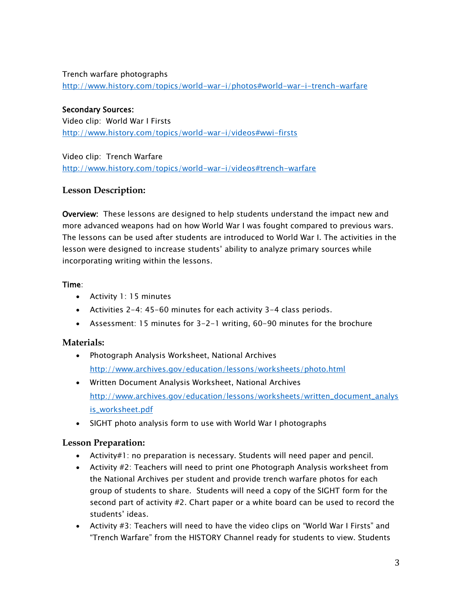#### Trench warfare photographs

<http://www.history.com/topics/world-war-i/photos#world-war-i-trench-warfare>

#### Secondary Sources: Video clip: World War I Firsts

<http://www.history.com/topics/world-war-i/videos#wwi-firsts>

Video clip: Trench Warfare <http://www.history.com/topics/world-war-i/videos#trench-warfare>

#### **Lesson Description:**

Overview: These lessons are designed to help students understand the impact new and more advanced weapons had on how World War I was fought compared to previous wars. The lessons can be used after students are introduced to World War I. The activities in the lesson were designed to increase students' ability to analyze primary sources while incorporating writing within the lessons.

#### Time:

- Activity 1: 15 minutes
- Activities 2-4: 45-60 minutes for each activity 3-4 class periods.
- Assessment: 15 minutes for 3-2-1 writing, 60-90 minutes for the brochure

#### **Materials:**

- Photograph Analysis Worksheet, National Archives <http://www.archives.gov/education/lessons/worksheets/photo.html>
- Written Document Analysis Worksheet, National Archives [http://www.archives.gov/education/lessons/worksheets/written\\_document\\_analys](http://www.archives.gov/education/lessons/worksheets/written_document_analysis_worksheet.pdf) [is\\_worksheet.pdf](http://www.archives.gov/education/lessons/worksheets/written_document_analysis_worksheet.pdf)
- SIGHT photo analysis form to use with World War I photographs

#### **Lesson Preparation:**

- Activity#1: no preparation is necessary. Students will need paper and pencil.
- Activity #2: Teachers will need to print one Photograph Analysis worksheet from the National Archives per student and provide trench warfare photos for each group of students to share. Students will need a copy of the SIGHT form for the second part of activity #2. Chart paper or a white board can be used to record the students' ideas.
- Activity #3: Teachers will need to have the video clips on "World War I Firsts" and "Trench Warfare" from the HISTORY Channel ready for students to view. Students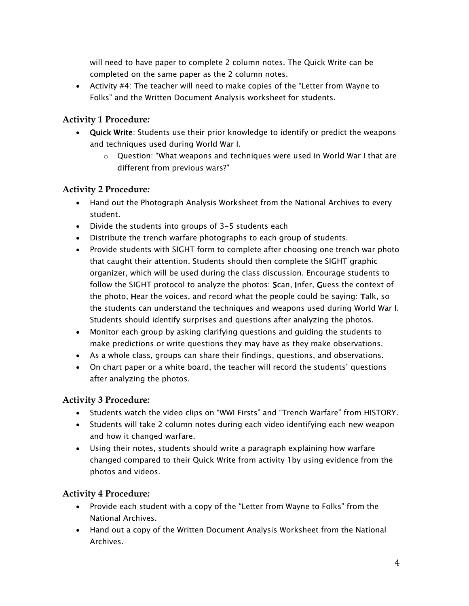will need to have paper to complete 2 column notes. The Quick Write can be completed on the same paper as the 2 column notes.

 Activity #4: The teacher will need to make copies of the "Letter from Wayne to Folks" and the Written Document Analysis worksheet for students.

#### **Activity 1 Procedure***:*

- Quick Write: Students use their prior knowledge to identify or predict the weapons and techniques used during World War I.
	- $\circ$  Question: "What weapons and techniques were used in World War I that are different from previous wars?"

#### **Activity 2 Procedure***:*

- Hand out the Photograph Analysis Worksheet from the National Archives to every student.
- Divide the students into groups of 3-5 students each
- Distribute the trench warfare photographs to each group of students.
- Provide students with SIGHT form to complete after choosing one trench war photo that caught their attention. Students should then complete the SIGHT graphic organizer, which will be used during the class discussion. Encourage students to follow the SIGHT protocol to analyze the photos: Scan, Infer, Guess the context of the photo, Hear the voices, and record what the people could be saying: Talk, so the students can understand the techniques and weapons used during World War I. Students should identify surprises and questions after analyzing the photos.
- Monitor each group by asking clarifying questions and guiding the students to make predictions or write questions they may have as they make observations.
- As a whole class, groups can share their findings, questions, and observations.
- On chart paper or a white board, the teacher will record the students' questions after analyzing the photos.

#### **Activity 3 Procedure***:*

- Students watch the video clips on "WWI Firsts" and "Trench Warfare" from HISTORY.
- Students will take 2 column notes during each video identifying each new weapon and how it changed warfare.
- Using their notes, students should write a paragraph explaining how warfare changed compared to their Quick Write from activity 1by using evidence from the photos and videos.

#### **Activity 4 Procedure***:*

- Provide each student with a copy of the "Letter from Wayne to Folks" from the National Archives.
- Hand out a copy of the Written Document Analysis Worksheet from the National Archives.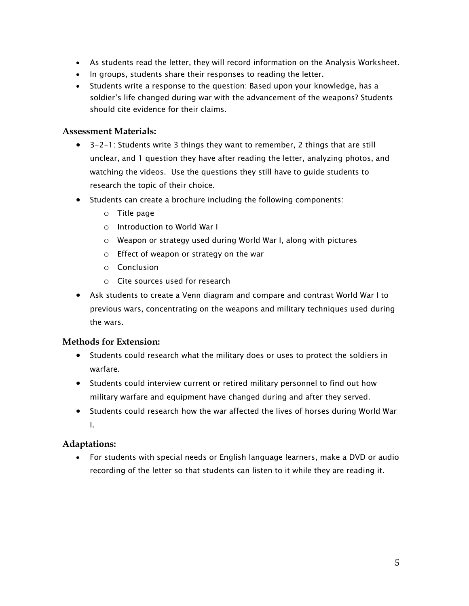- As students read the letter, they will record information on the Analysis Worksheet.
- In groups, students share their responses to reading the letter.
- Students write a response to the question: Based upon your knowledge, has a soldier's life changed during war with the advancement of the weapons? Students should cite evidence for their claims.

#### **Assessment Materials:**

- 3-2-1: Students write 3 things they want to remember, 2 things that are still unclear, and 1 question they have after reading the letter, analyzing photos, and watching the videos. Use the questions they still have to guide students to research the topic of their choice.
- Students can create a brochure including the following components:
	- o Title page
	- o Introduction to World War I
	- o Weapon or strategy used during World War I, along with pictures
	- o Effect of weapon or strategy on the war
	- o Conclusion
	- o Cite sources used for research
- Ask students to create a Venn diagram and compare and contrast World War I to previous wars, concentrating on the weapons and military techniques used during the wars.

#### **Methods for Extension:**

- Students could research what the military does or uses to protect the soldiers in warfare.
- Students could interview current or retired military personnel to find out how military warfare and equipment have changed during and after they served.
- Students could research how the war affected the lives of horses during World War I.

#### **Adaptations:**

 For students with special needs or English language learners, make a DVD or audio recording of the letter so that students can listen to it while they are reading it.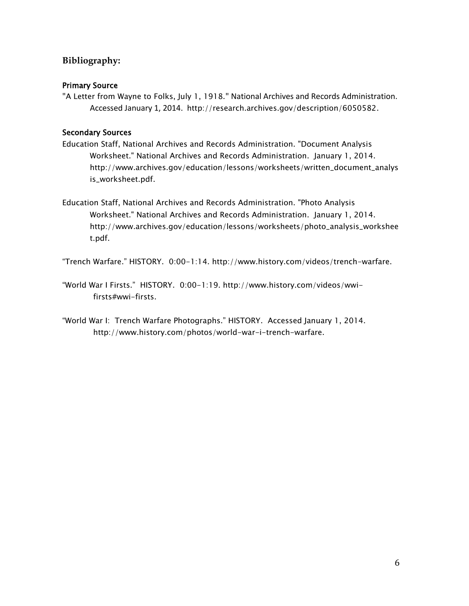### **Bibliography:**

#### Primary Source

"A Letter from Wayne to Folks, July 1, 1918." National Archives and Records Administration. Accessed January 1, 2014. http://research.archives.gov/description/6050582.

#### Secondary Sources

- Education Staff, National Archives and Records Administration. "Document Analysis Worksheet." National Archives and Records Administration. January 1, 2014. http://www.archives.gov/education/lessons/worksheets/written\_document\_analys is\_worksheet.pdf.
- Education Staff, National Archives and Records Administration. "Photo Analysis Worksheet." National Archives and Records Administration. January 1, 2014. http://www.archives.gov/education/lessons/worksheets/photo\_analysis\_workshee t.pdf.

"Trench Warfare." HISTORY. 0:00-1:14. http://www.history.com/videos/trench-warfare.

- "World War I Firsts." HISTORY. 0:00-1:19. http://www.history.com/videos/wwifirsts#wwi-firsts.
- "World War I: Trench Warfare Photographs." HISTORY. Accessed January 1, 2014. http://www.history.com/photos/world-war-i-trench-warfare.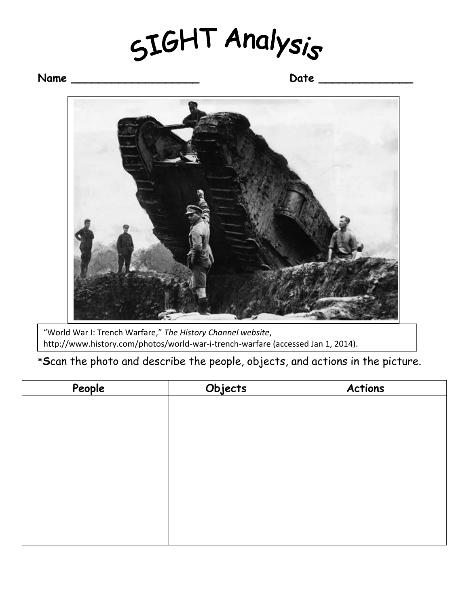SIGHT Analysis

## **Name \_\_\_\_\_\_\_\_\_\_\_\_\_\_\_\_\_\_\_ Date \_\_\_\_\_\_\_\_\_\_\_\_\_\_**



"World War I: Trench Warfare," *The History Channel website*, http://www.history.com/photos/world-war-i-trench-warfare (accessed Jan 1, 2014).

\***S**can the photo and describe the people, objects, and actions in the picture.

| People | Objects | <b>Actions</b> |
|--------|---------|----------------|
|        |         |                |
|        |         |                |
|        |         |                |
|        |         |                |
|        |         |                |
|        |         |                |
|        |         |                |
|        |         |                |
|        |         |                |
|        |         |                |